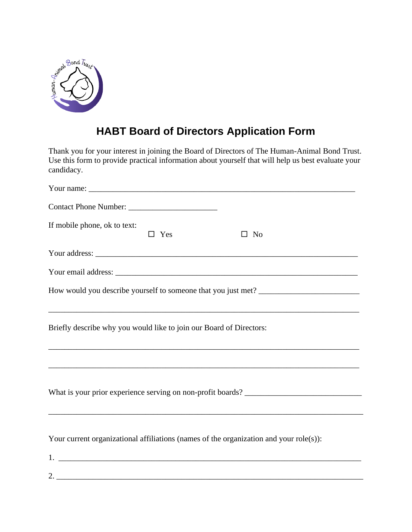

## **HABT Board of Directors Application Form**

Thank you for your interest in joining the Board of Directors of The Human-Animal Bond Trust. Use this form to provide practical information about yourself that will help us best evaluate your candidacy.

| If mobile phone, ok to text:<br>$\Box$ Yes<br>$\square$ No                             |  |  |  |  |  |
|----------------------------------------------------------------------------------------|--|--|--|--|--|
|                                                                                        |  |  |  |  |  |
|                                                                                        |  |  |  |  |  |
|                                                                                        |  |  |  |  |  |
| Briefly describe why you would like to join our Board of Directors:                    |  |  |  |  |  |
|                                                                                        |  |  |  |  |  |
| ,我们也不会有什么。""我们的人,我们也不会有什么?""我们的人,我们也不会有什么?""我们的人,我们也不会有什么?""我们的人,我们也不会有什么?""我们的人       |  |  |  |  |  |
| Your current organizational affiliations (names of the organization and your role(s)): |  |  |  |  |  |
|                                                                                        |  |  |  |  |  |
|                                                                                        |  |  |  |  |  |